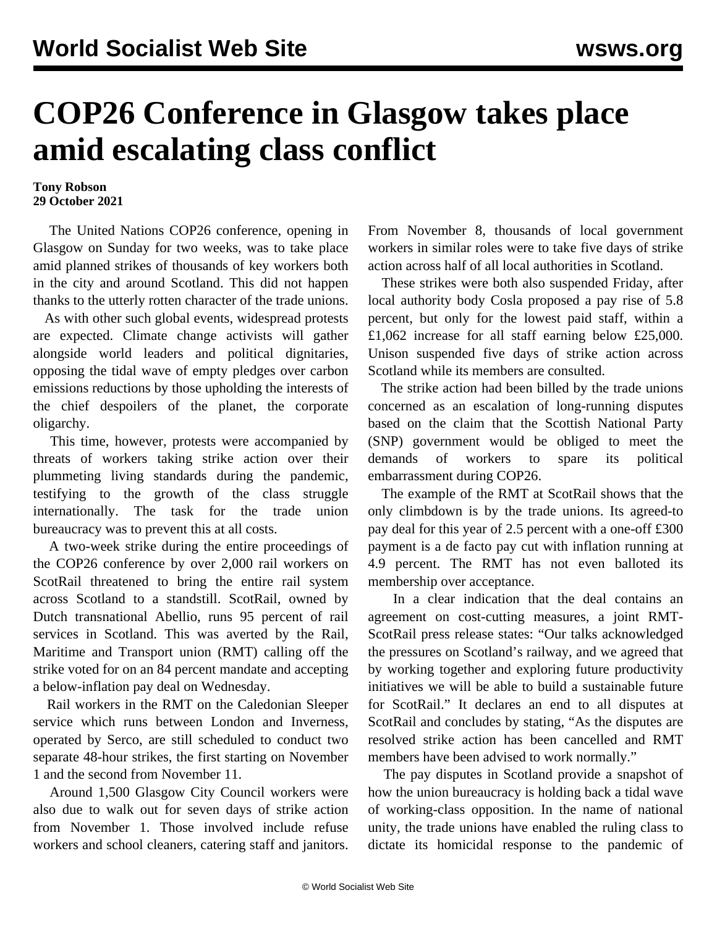## **COP26 Conference in Glasgow takes place amid escalating class conflict**

## **Tony Robson 29 October 2021**

 The United Nations COP26 conference, opening in Glasgow on Sunday for two weeks, was to take place amid planned strikes of thousands of key workers both in the city and around Scotland. This did not happen thanks to the utterly rotten character of the trade unions.

 As with other such global events, widespread protests are expected. Climate change activists will gather alongside world leaders and political dignitaries, opposing the tidal wave of empty pledges over carbon emissions reductions by those upholding the interests of the chief despoilers of the planet, the corporate oligarchy.

 This time, however, protests were accompanied by threats of workers taking strike action over their plummeting living standards during the pandemic, testifying to the growth of the class struggle internationally. The task for the trade union bureaucracy was to prevent this at all costs.

 A two-week strike during the entire proceedings of the COP26 conference by over 2,000 rail workers on ScotRail threatened to bring the entire rail system across Scotland to a standstill. ScotRail, owned by Dutch transnational Abellio, runs 95 percent of rail services in Scotland. This was averted by the Rail, Maritime and Transport union (RMT) calling off the strike voted for on an 84 percent mandate and accepting a below-inflation pay deal on Wednesday.

 Rail workers in the RMT on the Caledonian Sleeper service which runs between London and Inverness, operated by Serco, are still scheduled to conduct two separate 48-hour strikes, the first starting on November 1 and the second from November 11.

 Around 1,500 Glasgow City Council workers were also due to walk out for seven days of strike action from November 1. Those involved include refuse workers and school cleaners, catering staff and janitors.

From November 8, thousands of local government workers in similar roles were to take five days of strike action across half of all local authorities in Scotland.

 These strikes were both also suspended Friday, after local authority body Cosla proposed a pay rise of 5.8 percent, but only for the lowest paid staff, within a £1,062 increase for all staff earning below £25,000. Unison suspended five days of strike action across Scotland while its members are consulted.

 The strike action had been billed by the trade unions concerned as an escalation of long-running disputes based on the claim that the Scottish National Party (SNP) government would be obliged to meet the demands of workers to spare its political embarrassment during COP26.

 The example of the RMT at ScotRail shows that the only climbdown is by the trade unions. Its agreed-to pay deal for this year of 2.5 percent with a one-off £300 payment is a de facto pay cut with inflation running at 4.9 percent. The RMT has not even balloted its membership over acceptance.

 In a clear indication that the deal contains an agreement on cost-cutting measures, a joint RMT-ScotRail press release states: "Our talks acknowledged the pressures on Scotland's railway, and we agreed that by working together and exploring future productivity initiatives we will be able to build a sustainable future for ScotRail." It declares an end to all disputes at ScotRail and concludes by stating, "As the disputes are resolved strike action has been cancelled and RMT members have been advised to work normally."

 The pay disputes in Scotland provide a snapshot of how the union bureaucracy is holding back a tidal wave of working-class opposition. In the name of national unity, the trade unions have enabled the ruling class to dictate its homicidal response to the pandemic of